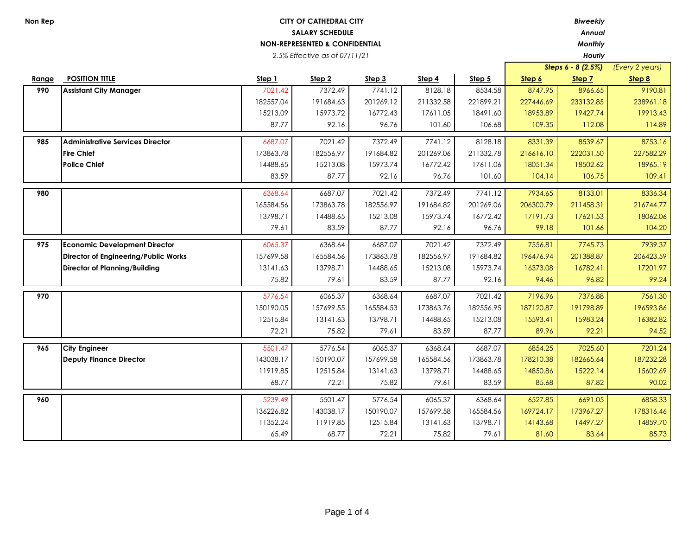*2.5% Effective as of 07/11/21*

*Annual*

*Hourly*

 $\mathbf{r}$ 

|       |                                         |           |                   |           |           |           |           | Steps $6 - 8$ (2.5%) | (Every 2 years) |
|-------|-----------------------------------------|-----------|-------------------|-----------|-----------|-----------|-----------|----------------------|-----------------|
| Range | <b>POSITION TITLE</b>                   | Step 1    | Step <sub>2</sub> | Step 3    | Step 4    | Step 5    | Step 6    | Step 7               | Step 8          |
| 990   | <b>Assistant City Manager</b>           | 7021.42   | 7372.49           | 7741.12   | 8128.18   | 8534.58   | 8747.95   | 8966.65              | 9190.81         |
|       |                                         | 182557.04 | 191684.63         | 201269.12 | 211332.58 | 221899.21 | 227446.69 | 233132.85            | 238961.18       |
|       |                                         | 15213.09  | 15973.72          | 16772.43  | 17611.05  | 18491.60  | 18953.89  | 19427.74             | 19913.43        |
|       |                                         | 87.77     | 92.16             | 96.76     | 101.60    | 106.68    | 109.35    | 112.08               | 114.89          |
| 985   | <b>Administrative Services Director</b> | 6687.07   | 7021.42           | 7372.49   | 7741.12   | 8128.18   | 8331.39   | 8539.67              | 8753.16         |
|       | <b>Fire Chief</b>                       | 173863.78 | 182556.97         | 191684.82 | 201269.06 | 211332.78 | 216616.10 | 222031.50            | 227582.29       |
|       | <b>Police Chief</b>                     | 14488.65  | 15213.08          | 15973.74  | 16772.42  | 17611.06  | 18051.34  | 18502.62             | 18965.19        |
|       |                                         | 83.59     | 87.77             | 92.16     | 96.76     | 101.60    | 104.14    | 106.75               | 109.41          |
| 980   |                                         | 6368.64   | 6687.07           | 7021.42   | 7372.49   | 7741.12   | 7934.65   | 8133.01              | 8336.34         |
|       |                                         | 165584.56 | 173863.78         | 182556.97 | 191684.82 | 201269.06 | 206300.79 | 211458.31            | 216744.77       |
|       |                                         | 13798.71  | 14488.65          | 15213.08  | 15973.74  | 16772.42  | 17191.73  | 17621.53             | 18062.06        |
|       |                                         | 79.61     | 83.59             | 87.77     | 92.16     | 96.76     | 99.18     | 101.66               | 104.20          |
|       |                                         |           |                   |           |           |           |           |                      |                 |
| 975   | <b>Economic Development Director</b>    | 6065.37   | 6368.64           | 6687.07   | 7021.42   | 7372.49   | 7556.81   | 7745.73              | 7939.37         |
|       | Director of Engineering/Public Works    | 157699.58 | 165584.56         | 173863.78 | 182556.97 | 191684.82 | 196476.94 | 201388.87            | 206423.59       |
|       | <b>Director of Planning/Building</b>    | 13141.63  | 13798.71          | 14488.65  | 15213.08  | 15973.74  | 16373.08  | 16782.41             | 17201.97        |
|       |                                         | 75.82     | 79.61             | 83.59     | 87.77     | 92.16     | 94.46     | 96.82                | 99.24           |
| 970   |                                         | 5776.54   | 6065.37           | 6368.64   | 6687.07   | 7021.42   | 7196.96   | 7376.88              | 7561.30         |
|       |                                         | 150190.05 | 157699.55         | 165584.53 | 173863.76 | 182556.95 | 187120.87 | 191798.89            | 196593.86       |
|       |                                         | 12515.84  | 13141.63          | 13798.71  | 14488.65  | 15213.08  | 15593.41  | 15983.24             | 16382.82        |
|       |                                         | 72.21     | 75.82             | 79.61     | 83.59     | 87.77     | 89.96     | 92.21                | 94.52           |
| 965   | <b>City Engineer</b>                    | 5501.47   | 5776.54           | 6065.37   | 6368.64   | 6687.07   | 6854.25   | 7025.60              | 7201.24         |
|       | Deputy Finance Director                 | 143038.17 | 150190.07         | 157699.58 | 165584.56 | 173863.78 | 178210.38 | 182665.64            | 187232.28       |
|       |                                         | 11919.85  | 12515.84          | 13141.63  | 13798.71  | 14488.65  | 14850.86  | 15222.14             | 15602.69        |
|       |                                         | 68.77     | 72.21             | 75.82     | 79.61     | 83.59     | 85.68     | 87.82                | 90.02           |
|       |                                         |           |                   |           |           |           |           |                      |                 |
| 960   |                                         | 5239.49   | 5501.47           | 5776.54   | 6065.37   | 6368.64   | 6527.85   | 6691.05              | 6858.33         |
|       |                                         | 136226.82 | 143038.17         | 150190.07 | 157699.58 | 165584.56 | 169724.17 | 173967.27            | 178316.46       |
|       |                                         | 11352.24  | 11919.85          | 12515.84  | 13141.63  | 13798.71  | 14143.68  | 14497.27             | 14859.70        |
|       |                                         | 65.49     | 68.77             | 72.21     | 75.82     | 79.61     | 81.60     | 83.64                | 85.73           |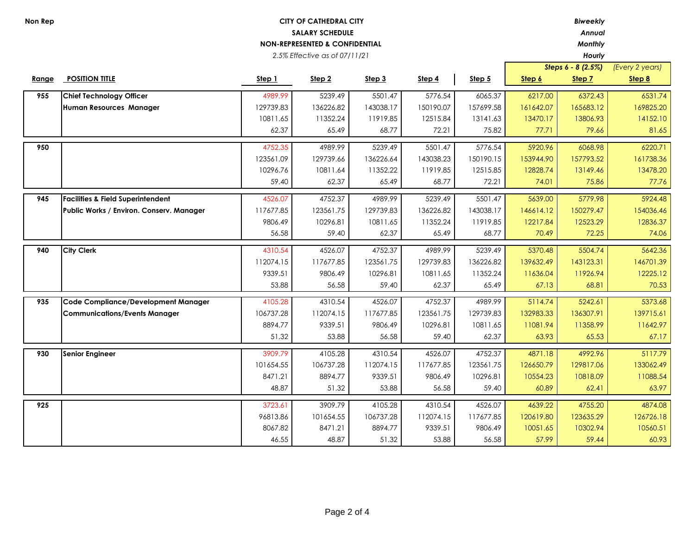*2.5% Effective as of 07/11/21*

*Annual*

*Hourly*

|       |                                              |           |                   |           |           |           |           | Steps 6 - 8 (2.5%) | (Every 2 years) |
|-------|----------------------------------------------|-----------|-------------------|-----------|-----------|-----------|-----------|--------------------|-----------------|
| Range | <b>POSITION TITLE</b>                        | Step 1    | Step <sub>2</sub> | Step 3    | Step 4    | Step 5    | Step 6    | Step 7             | Step 8          |
| 955   | <b>Chief Technology Officer</b>              | 4989.99   | 5239.49           | 5501.47   | 5776.54   | 6065.37   | 6217.00   | 6372.43            | 6531.74         |
|       | Human Resources Manager                      | 129739.83 | 136226.82         | 143038.17 | 150190.07 | 157699.58 | 161642.07 | 165683.12          | 169825.20       |
|       |                                              | 10811.65  | 11352.24          | 11919.85  | 12515.84  | 13141.63  | 13470.17  | 13806.93           | 14152.10        |
|       |                                              | 62.37     | 65.49             | 68.77     | 72.21     | 75.82     | 77.71     | 79.66              | 81.65           |
| 950   |                                              | 4752.35   | 4989.99           | 5239.49   | 5501.47   | 5776.54   | 5920.96   | 6068.98            | 6220.71         |
|       |                                              | 123561.09 | 129739.66         | 136226.64 | 143038.23 | 150190.15 | 153944.90 | 157793.52          | 161738.36       |
|       |                                              | 10296.76  | 10811.64          | 11352.22  | 11919.85  | 12515.85  | 12828.74  | 13149.46           | 13478.20        |
|       |                                              | 59.40     | 62.37             | 65.49     | 68.77     | 72.21     | 74.01     | 75.86              | 77.76           |
|       |                                              |           |                   |           |           |           |           |                    |                 |
| 945   | <b>Facilities &amp; Field Superintendent</b> | 4526.07   | 4752.37           | 4989.99   | 5239.49   | 5501.47   | 5639.00   | 5779.98            | 5924.48         |
|       | Public Works / Environ. Conserv. Manager     | 117677.85 | 123561.75         | 129739.83 | 136226.82 | 143038.17 | 146614.12 | 150279.47          | 154036.46       |
|       |                                              | 9806.49   | 10296.81          | 10811.65  | 11352.24  | 11919.85  | 12217.84  | 12523.29           | 12836.37        |
|       |                                              | 56.58     | 59.40             | 62.37     | 65.49     | 68.77     | 70.49     | 72.25              | 74.06           |
| 940   | <b>City Clerk</b>                            | 4310.54   | 4526.07           | 4752.37   | 4989.99   | 5239.49   | 5370.48   | 5504.74            | 5642.36         |
|       |                                              | 112074.15 | 117677.85         | 123561.75 | 129739.83 | 136226.82 | 139632.49 | 143123.31          | 146701.39       |
|       |                                              | 9339.51   | 9806.49           | 10296.81  | 10811.65  | 11352.24  | 11636.04  | 11926.94           | 12225.12        |
|       |                                              | 53.88     | 56.58             | 59.40     | 62.37     | 65.49     | 67.13     | 68.81              | 70.53           |
|       |                                              |           |                   |           |           |           |           |                    |                 |
| 935   | Code Compliance/Development Manager          | 4105.28   | 4310.54           | 4526.07   | 4752.37   | 4989.99   | 5114.74   | 5242.61            | 5373.68         |
|       | <b>Communications/Events Manager</b>         | 106737.28 | 112074.15         | 117677.85 | 123561.75 | 129739.83 | 132983.33 | 136307.91          | 139715.61       |
|       |                                              | 8894.77   | 9339.51           | 9806.49   | 10296.81  | 10811.65  | 11081.94  | 11358.99           | 11642.97        |
|       |                                              | 51.32     | 53.88             | 56.58     | 59.40     | 62.37     | 63.93     | 65.53              | 67.17           |
| 930   | <b>Senior Engineer</b>                       | 3909.79   | 4105.28           | 4310.54   | 4526.07   | 4752.37   | 4871.18   | 4992.96            | 5117.79         |
|       |                                              | 101654.55 | 106737.28         | 112074.15 | 117677.85 | 123561.75 | 126650.79 | 129817.06          | 133062.49       |
|       |                                              | 8471.21   | 8894.77           | 9339.51   | 9806.49   | 10296.81  | 10554.23  | 10818.09           | 11088.54        |
|       |                                              | 48.87     | 51.32             | 53.88     | 56.58     | 59.40     | 60.89     | 62.41              | 63.97           |
|       |                                              |           |                   |           |           |           |           |                    |                 |
| 925   |                                              | 3723.61   | 3909.79           | 4105.28   | 4310.54   | 4526.07   | 4639.22   | 4755.20            | 4874.08         |
|       |                                              | 96813.86  | 101654.55         | 106737.28 | 112074.15 | 117677.85 | 120619.80 | 123635.29          | 126726.18       |
|       |                                              | 8067.82   | 8471.21           | 8894.77   | 9339.51   | 9806.49   | 10051.65  | 10302.94           | 10560.51        |
|       |                                              | 46.55     | 48.87             | 51.32     | 53.88     | 56.58     | 57.99     | 59.44              | 60.93           |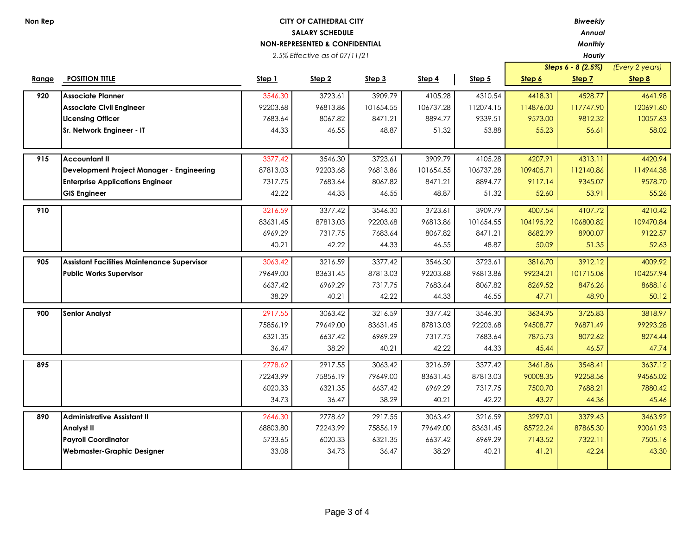*2.5% Effective as of 07/11/21*

*Annual*

*Hourly*

|       |                                                    |          |          |           |           |           |           | Steps 6 - 8 (2.5%) | (Every 2 years) |
|-------|----------------------------------------------------|----------|----------|-----------|-----------|-----------|-----------|--------------------|-----------------|
| Range | <b>POSITION TITLE</b>                              | Step 1   | Step 2   | Step 3    | Step 4    | Step 5    | Step 6    | Step 7             | Step 8          |
| 920   | <b>Associate Planner</b>                           | 3546.30  | 3723.61  | 3909.79   | 4105.28   | 4310.54   | 4418.31   | 4528.77            | 4641.98         |
|       | <b>Associate Civil Engineer</b>                    | 92203.68 | 96813.86 | 101654.55 | 106737.28 | 112074.15 | 114876.00 | 117747.90          | 120691.60       |
|       | <b>Licensing Officer</b>                           | 7683.64  | 8067.82  | 8471.21   | 8894.77   | 9339.51   | 9573.00   | 9812.32            | 10057.63        |
|       | Sr. Network Engineer - IT                          | 44.33    | 46.55    | 48.87     | 51.32     | 53.88     | 55.23     | 56.61              | 58.02           |
|       |                                                    |          |          |           |           |           |           |                    |                 |
| 915   | <b>Accountant II</b>                               | 3377.42  | 3546.30  | 3723.61   | 3909.79   | 4105.28   | 4207.91   | 4313.11            | 4420.94         |
|       | Development Project Manager - Engineering          | 87813.03 | 92203.68 | 96813.86  | 101654.55 | 106737.28 | 109405.71 | 112140.86          | 114944.38       |
|       | <b>Enterprise Applications Engineer</b>            | 7317.75  | 7683.64  | 8067.82   | 8471.21   | 8894.77   | 9117.14   | 9345.07            | 9578.70         |
|       | <b>GIS Engineer</b>                                | 42.22    | 44.33    | 46.55     | 48.87     | 51.32     | 52.60     | 53.91              | 55.26           |
| 910   |                                                    | 3216.59  | 3377.42  | 3546.30   | 3723.61   | 3909.79   | 4007.54   | 4107.72            | 4210.42         |
|       |                                                    | 83631.45 | 87813.03 | 92203.68  | 96813.86  | 101654.55 | 104195.92 | 106800.82          | 109470.84       |
|       |                                                    | 6969.29  | 7317.75  | 7683.64   | 8067.82   | 8471.21   | 8682.99   | 8900.07            | 9122.57         |
|       |                                                    | 40.21    | 42.22    | 44.33     | 46.55     | 48.87     | 50.09     | 51.35              | 52.63           |
| 905   | <b>Assistant Facilities Maintenance Supervisor</b> | 3063.42  | 3216.59  | 3377.42   | 3546.30   | 3723.61   | 3816.70   | 3912.12            | 4009.92         |
|       | <b>Public Works Supervisor</b>                     | 79649.00 | 83631.45 | 87813.03  | 92203.68  | 96813.86  | 99234.21  | 101715.06          | 104257.94       |
|       |                                                    | 6637.42  | 6969.29  | 7317.75   | 7683.64   | 8067.82   | 8269.52   | 8476.26            | 8688.16         |
|       |                                                    | 38.29    | 40.21    | 42.22     | 44.33     | 46.55     | 47.71     | 48.90              | 50.12           |
| 900   | <b>Senior Analyst</b>                              | 2917.55  | 3063.42  | 3216.59   | 3377.42   | 3546.30   | 3634.95   | 3725.83            | 3818.97         |
|       |                                                    | 75856.19 | 79649.00 | 83631.45  | 87813.03  | 92203.68  | 94508.77  | 96871.49           | 99293.28        |
|       |                                                    | 6321.35  | 6637.42  | 6969.29   | 7317.75   | 7683.64   | 7875.73   | 8072.62            | 8274.44         |
|       |                                                    | 36.47    | 38.29    | 40.21     | 42.22     | 44.33     | 45.44     | 46.57              | 47.74           |
| 895   |                                                    | 2778.62  | 2917.55  | 3063.42   | 3216.59   | 3377.42   | 3461.86   | 3548.41            | 3637.12         |
|       |                                                    | 72243.99 | 75856.19 | 79649.00  | 83631.45  | 87813.03  | 90008.35  | 92258.56           | 94565.02        |
|       |                                                    | 6020.33  | 6321.35  | 6637.42   | 6969.29   | 7317.75   | 7500.70   | 7688.21            | 7880.42         |
|       |                                                    | 34.73    | 36.47    | 38.29     | 40.21     | 42.22     | 43.27     | 44.36              | 45.46           |
| 890   | <b>Administrative Assistant II</b>                 | 2646.30  | 2778.62  | 2917.55   | 3063.42   | 3216.59   | 3297.01   | 3379.43            | 3463.92         |
|       | <b>Analyst II</b>                                  | 68803.80 | 72243.99 | 75856.19  | 79649.00  | 83631.45  | 85722.24  | 87865.30           | 90061.93        |
|       | <b>Payroll Coordinator</b>                         | 5733.65  | 6020.33  | 6321.35   | 6637.42   | 6969.29   | 7143.52   | 7322.11            | 7505.16         |
|       | <b>Webmaster-Graphic Designer</b>                  | 33.08    | 34.73    | 36.47     | 38.29     | 40.21     | 41.21     | 42.24              | 43.30           |
|       |                                                    |          |          |           |           |           |           |                    |                 |